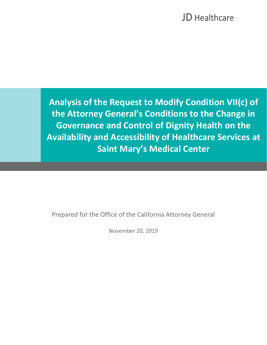**Analysis of the Request to Modify Condition VII(c) of the Attorney General's Conditions to the Change in Governance and Control of Dignity Health on the Availability and Accessibility of Healthcare Services at Saint Mary's Medical Center**

Prepared for the Office of the California Attorney General

l

November 20, 2019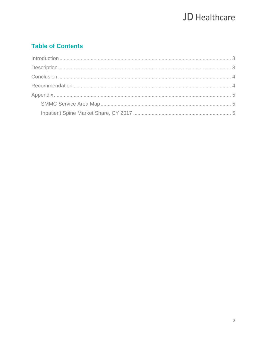### **Table of Contents**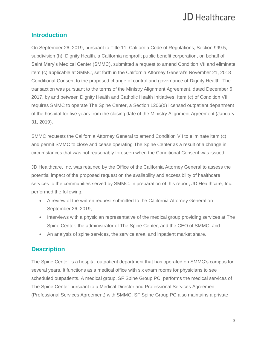### <span id="page-2-0"></span>**Introduction**

On September 26, 2019, pursuant to Title 11, California Code of Regulations, Section 999.5, subdivision (h), Dignity Health, a California nonprofit public benefit corporation, on behalf of Saint Mary's Medical Center (SMMC), submitted a request to amend Condition VII and eliminate item (c) applicable at SMMC, set forth in the California Attorney General's November 21, 2018 Conditional Consent to the proposed change of control and governance of Dignity Health. The transaction was pursuant to the terms of the Ministry Alignment Agreement, dated December 6, 2017, by and between Dignity Health and Catholic Health Initiatives. Item (c) of Condition VII requires SMMC to operate The Spine Center, a Section 1206(d) licensed outpatient department of the hospital for five years from the closing date of the Ministry Alignment Agreement (January 31, 2019).

SMMC requests the California Attorney General to amend Condition VII to eliminate item (c) and permit SMMC to close and cease operating The Spine Center as a result of a change in circumstances that was not reasonably foreseen when the Conditional Consent was issued.

JD Healthcare, Inc. was retained by the Office of the California Attorney General to assess the potential impact of the proposed request on the availability and accessibility of healthcare services to the communities served by SMMC. In preparation of this report, JD Healthcare, Inc. performed the following:

- A review of the written request submitted to the California Attorney General on September 26, 2019;
- Interviews with a physician representative of the medical group providing services at The Spine Center, the administrator of The Spine Center, and the CEO of SMMC; and
- An analysis of spine services, the service area, and inpatient market share.

### <span id="page-2-1"></span>**Description**

The Spine Center is a hospital outpatient department that has operated on SMMC's campus for several years. It functions as a medical office with six exam rooms for physicians to see scheduled outpatients. A medical group, SF Spine Group PC, performs the medical services of The Spine Center pursuant to a Medical Director and Professional Services Agreement (Professional Services Agreement) with SMMC. SF Spine Group PC also maintains a private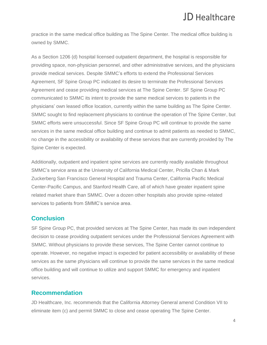practice in the same medical office building as The Spine Center. The medical office building is owned by SMMC.

As a Section 1206 (d) hospital licensed outpatient department, the hospital is responsible for providing space, non-physician personnel, and other administrative services, and the physicians provide medical services. Despite SMMC's efforts to extend the Professional Services Agreement, SF Spine Group PC indicated its desire to terminate the Professional Services Agreement and cease providing medical services at The Spine Center. SF Spine Group PC communicated to SMMC its intent to provide the same medical services to patients in the physicians' own leased office location, currently within the same building as The Spine Center. SMMC sought to find replacement physicians to continue the operation of The Spine Center, but SMMC efforts were unsuccessful. Since SF Spine Group PC will continue to provide the same services in the same medical office building and continue to admit patients as needed to SMMC, no change in the accessibility or availability of these services that are currently provided by The Spine Center is expected.

Additionally, outpatient and inpatient spine services are currently readily available throughout SMMC's service area at the University of California Medical Center, Pricilla Chan & Mark Zuckerberg San Francisco General Hospital and Trauma Center, California Pacific Medical Center-Pacific Campus, and Stanford Health Care, all of which have greater inpatient spine related market share than SMMC. Over a dozen other hospitals also provide spine-related services to patients from SMMC's service area.

#### <span id="page-3-0"></span>**Conclusion**

SF Spine Group PC, that provided services at The Spine Center, has made its own independent decision to cease providing outpatient services under the Professional Services Agreement with SMMC. Without physicians to provide these services, The Spine Center cannot continue to operate. However, no negative impact is expected for patient accessibility or availability of these services as the same physicians will continue to provide the same services in the same medical office building and will continue to utilize and support SMMC for emergency and inpatient services.

### <span id="page-3-1"></span>**Recommendation**

JD Healthcare, Inc. recommends that the California Attorney General amend Condition VII to eliminate item (c) and permit SMMC to close and cease operating The Spine Center.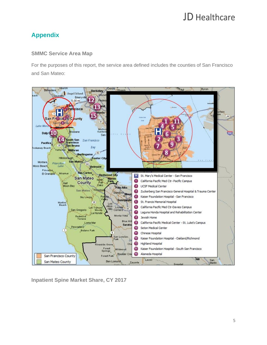### <span id="page-4-0"></span>**Appendix**

#### <span id="page-4-1"></span>**SMMC Service Area Map**

For the purposes of this report, the service area defined includes the counties of San Francisco and San Mateo:



<span id="page-4-2"></span>**Inpatient Spine Market Share, CY 2017**